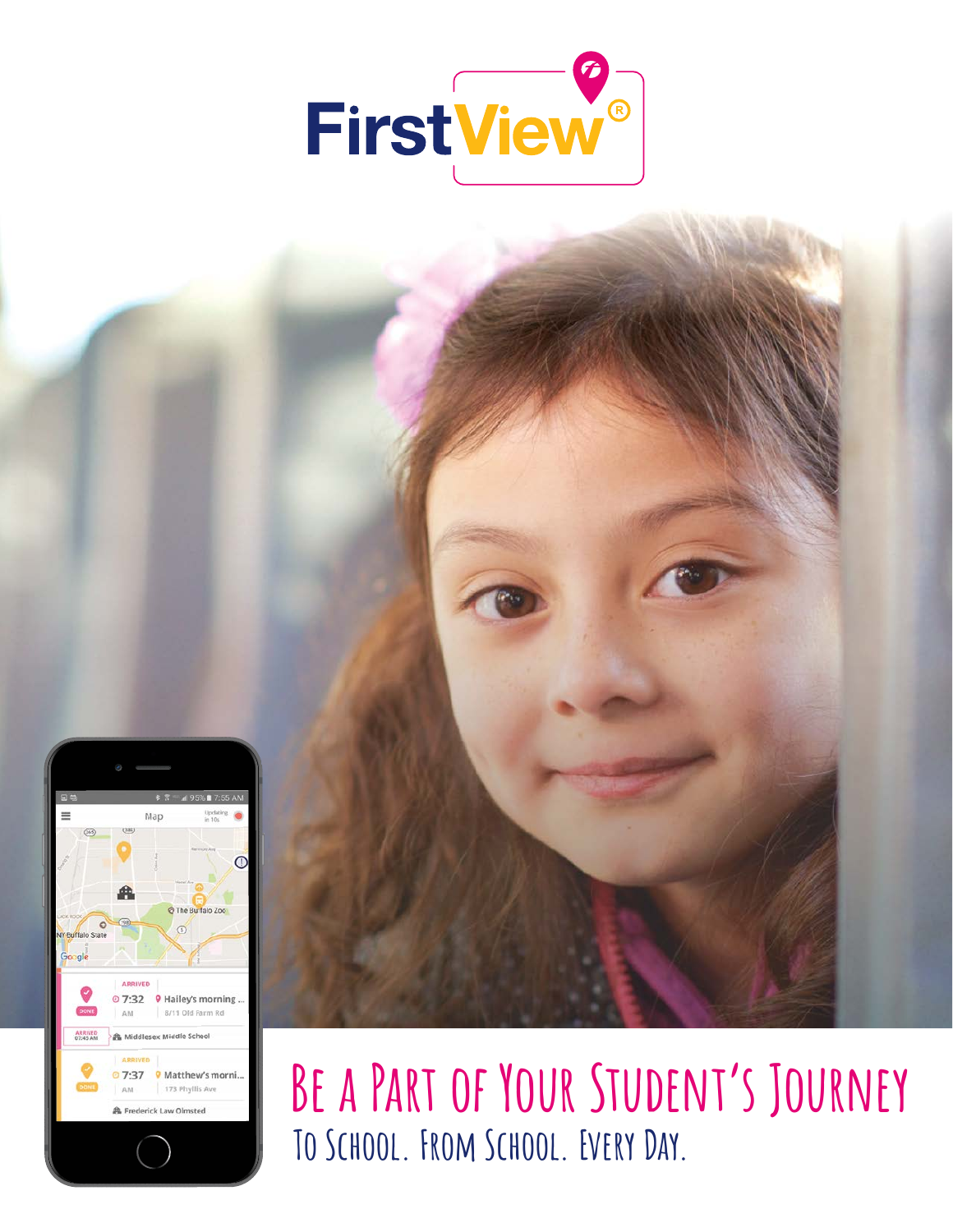





# **Be a Part of Your Student's Journey To School. From School. Every Day.**